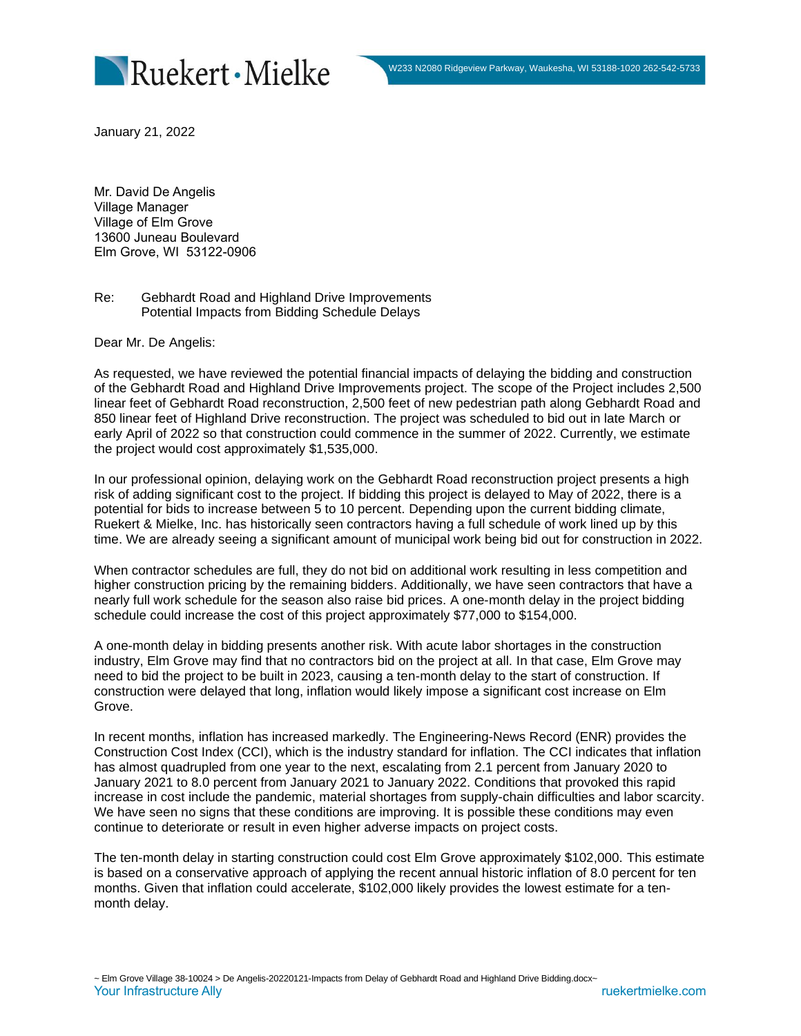

January 21, 2022

Mr. David De Angelis Village Manager Village of Elm Grove 13600 Juneau Boulevard Elm Grove, WI 53122-0906

Re: Gebhardt Road and Highland Drive Improvements Potential Impacts from Bidding Schedule Delays

Dear Mr. De Angelis:

As requested, we have reviewed the potential financial impacts of delaying the bidding and construction of the Gebhardt Road and Highland Drive Improvements project. The scope of the Project includes 2,500 linear feet of Gebhardt Road reconstruction, 2,500 feet of new pedestrian path along Gebhardt Road and 850 linear feet of Highland Drive reconstruction. The project was scheduled to bid out in late March or early April of 2022 so that construction could commence in the summer of 2022. Currently, we estimate the project would cost approximately \$1,535,000.

In our professional opinion, delaying work on the Gebhardt Road reconstruction project presents a high risk of adding significant cost to the project. If bidding this project is delayed to May of 2022, there is a potential for bids to increase between 5 to 10 percent. Depending upon the current bidding climate, Ruekert & Mielke, Inc. has historically seen contractors having a full schedule of work lined up by this time. We are already seeing a significant amount of municipal work being bid out for construction in 2022.

When contractor schedules are full, they do not bid on additional work resulting in less competition and higher construction pricing by the remaining bidders. Additionally, we have seen contractors that have a nearly full work schedule for the season also raise bid prices. A one-month delay in the project bidding schedule could increase the cost of this project approximately \$77,000 to \$154,000.

A one-month delay in bidding presents another risk. With acute labor shortages in the construction industry, Elm Grove may find that no contractors bid on the project at all. In that case, Elm Grove may need to bid the project to be built in 2023, causing a ten-month delay to the start of construction. If construction were delayed that long, inflation would likely impose a significant cost increase on Elm Grove.

In recent months, inflation has increased markedly. The Engineering-News Record (ENR) provides the Construction Cost Index (CCI), which is the industry standard for inflation. The CCI indicates that inflation has almost quadrupled from one year to the next, escalating from 2.1 percent from January 2020 to January 2021 to 8.0 percent from January 2021 to January 2022. Conditions that provoked this rapid increase in cost include the pandemic, material shortages from supply-chain difficulties and labor scarcity. We have seen no signs that these conditions are improving. It is possible these conditions may even continue to deteriorate or result in even higher adverse impacts on project costs.

The ten-month delay in starting construction could cost Elm Grove approximately \$102,000. This estimate is based on a conservative approach of applying the recent annual historic inflation of 8.0 percent for ten months. Given that inflation could accelerate, \$102,000 likely provides the lowest estimate for a tenmonth delay.